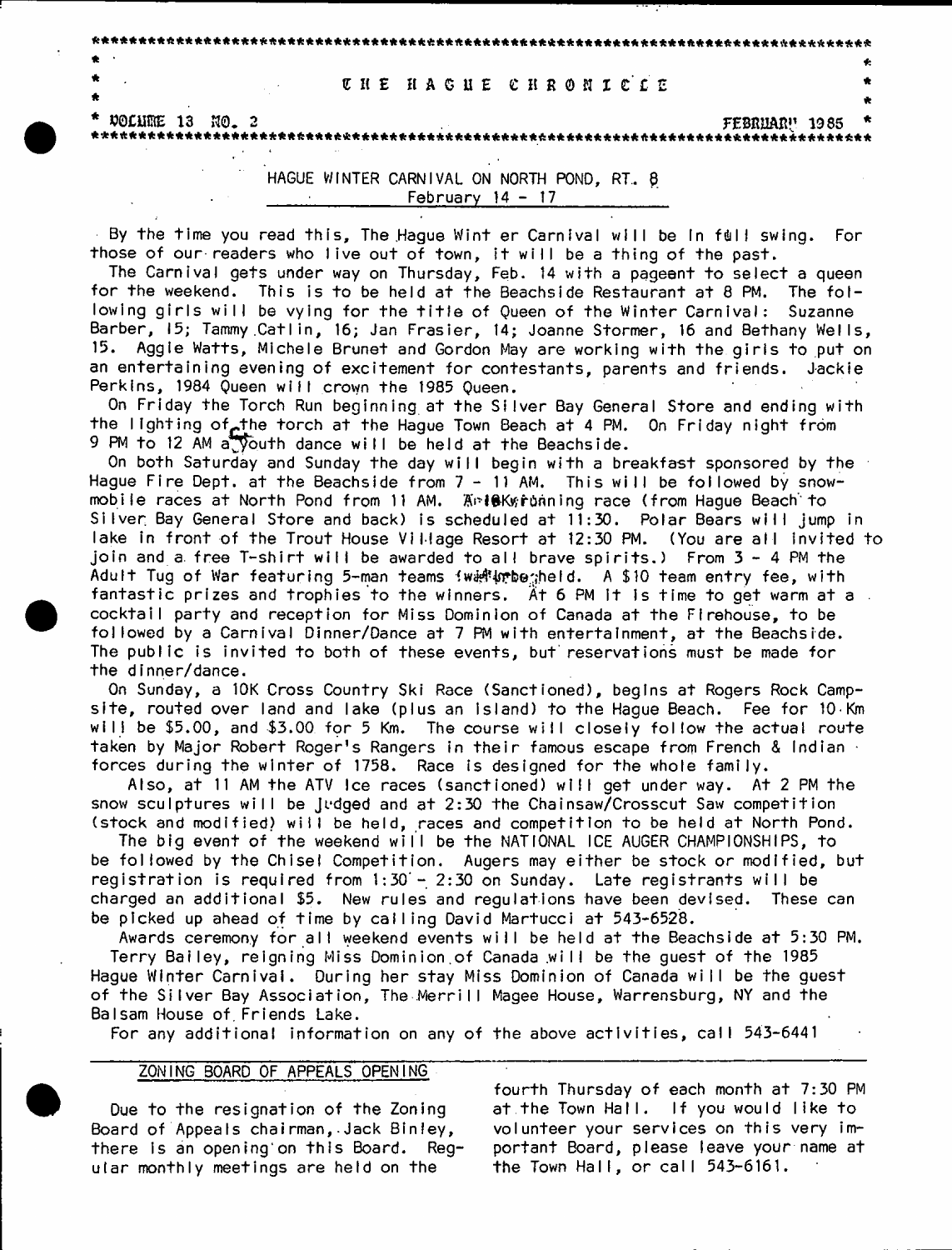#### **\* U l £ H A G U E C H R 0 f i n ' £ £ \***

 $\star$  . The set of the set of the set of the set of the set of the set of the set of the set of the set of the set of the set of the set of the set of the set of the set of the set of the set of the set of the set of the s

\* \*

\* \* \* \* \* \* \* \* \* \* \* \* \* \* \* \* \* \* \* \* \* \* \* \* \* \* \* \* \* \* \* \* \* \* \* \* \* \* \* \* \* \* \* \* \* \* \* \* \* \* \* \* \* \* \* \* \* \* \* \* \* \* \* \* \* \* \* \* \* \* \* \* \* \* \* \* \* \* \* \* \* \* \* \*

\* tfOCiintE 13 K0. 2 FEBHIIAB!' 1985 \*

\* \* \* \* \* \* \* \* \* \* \* \* \* \* \* \* \* \* \* \* \* \* \* \* \* \* \* \* \* \* \* \* \* \* \* \* \* \* \* \* \* \* \* \* \* \* \* \* \* \* \* \* \* \* \* \* \* \* \* \* \* \* \* \* \* \* \* \* \* \* \* \* \* \* \* \* \* \* \* \* \* \* \* \*

HAGUE WINTER CARNIVAL ON NORTH POND, RT.. <sup>8</sup> February  $14 - 17$ 

By the time you read this, The Hague Wint er Carnival will be In full swing. For those of our readers who live out of town, it will be a thing of the past.

The Carnival gets under way on Thursday, Feb. 14 with a pageent to select a queen for the weekend. This is to be held at the Beachside Restaurant at 8 PM. The following girls will be vying for the title of Queen of the Winter Carnival: Suzanne Barber, 15; Tammy Catlin, 16; Jan Frasier, 14; Joanne Stormer, 16 and Bethany Wells, 15. Aggie Watts, Michele Brunet and Gordon May are working with the girls to put on an entertaining evening of excitement for contestants, parents and friends. Jackie Perkins, 1984 Queen will crown the 1985 Queen.

On Friday the Torch Run beginning at the Silver Bay General Store and ending with the lighting of the torch at the Hague Town Beach at 4 PM. On Friday night from 9 PM to 12 AM a youth dance will be held at the Beachside.

On both Saturday and Sunday the day will begin with a breakfast sponsored by the Hague Fire Dept, at the Beachside from  $7 - 11$  AM. This will be followed by snowmobile races at North Pond from 11 AM. Anle Kyroning race (from Hague Beach to Silver Bay General Store and back) is scheduled at 11:30. Polar Bears will jump in lake in front of the Trout House Village Resort at 12:30 PM. (You are all invited to join and a free T-shirt will be awarded to all brave spirits.) From 3 - 4 PM the Adult Tug of War featuring 5-man teams (with upbesheld. A \$10 team entry fee, with fantastic prizes and trophies to the winners. At 6 PM it is time to get warm at a cocktail party and reception for Miss Dominion of Canada at the Firehouse, to be followed by a Carnival Dinner/Dance at 7 PM with entertainment, at the Beachside. The public is invited to both of these events, but reservations must be made for the dinner/dance.

On Sunday, a 10K Cross Country Ski Race (Sanctioned), begins at Rogers Rock Campsite, routed over land and lake (plus an island) to the Hague Beach. Fee for  $10 \cdot$ Km will be \$5.00, and \$3.00 for 5 Km. The course will closely follow the actual route taken by Major Robert Roger's Rangers in their famous escape from French & Indian · forces during the winter of 1758. Race is designed for the whole family.

Also, at 11 AM the ATV Ice races (sanctioned) will get under way. At 2 PM the snow sculptures will be Judged and at  $2:30$  the Chainsaw/Crosscut Saw competition (stock and modified) will be held, races and competition to be held at North Pond.

The big event of the weekend will be the NATIONAL ICE AUGER CHAMPIONSHIPS, to be followed by the Chisel Competition. Augers may either be stock or modified, but registration is required from  $1:30 - 2:30$  on Sunday. Late registrants will be charged an additional \$5. New rules and requiations have been devised. These can be picked up ahead of time by calling David Martucci at 543-6528.

Awards ceremony for all weekend events will be held at the Beachside at 5:30 PM. Terry Bailey, reigning Miss Dominion of Canada will be the guest of the 1985 Hague Winter Carnival. During her stay Miss Dominion of Canada will be the guest of the Silver Bay Association, The Merrill Magee House, Warrensburg, NY and the Balsam House of. Friends Lake.

For any additional information on any of the above activities, call 543-6441

#### ZONING BOARD OF APPEALS OPENING

Due to the resignation of the Zoning Board of Appeals chairman, Jack Binley, there is an opening on this Board. Regular monthly meetings are held on the

fourth Thursday of each month at 7:30 PM at the Town Hall. If you would like to volunteer your services on this very important Board, please leave your name at the Town Hall, or call  $543-6161$ .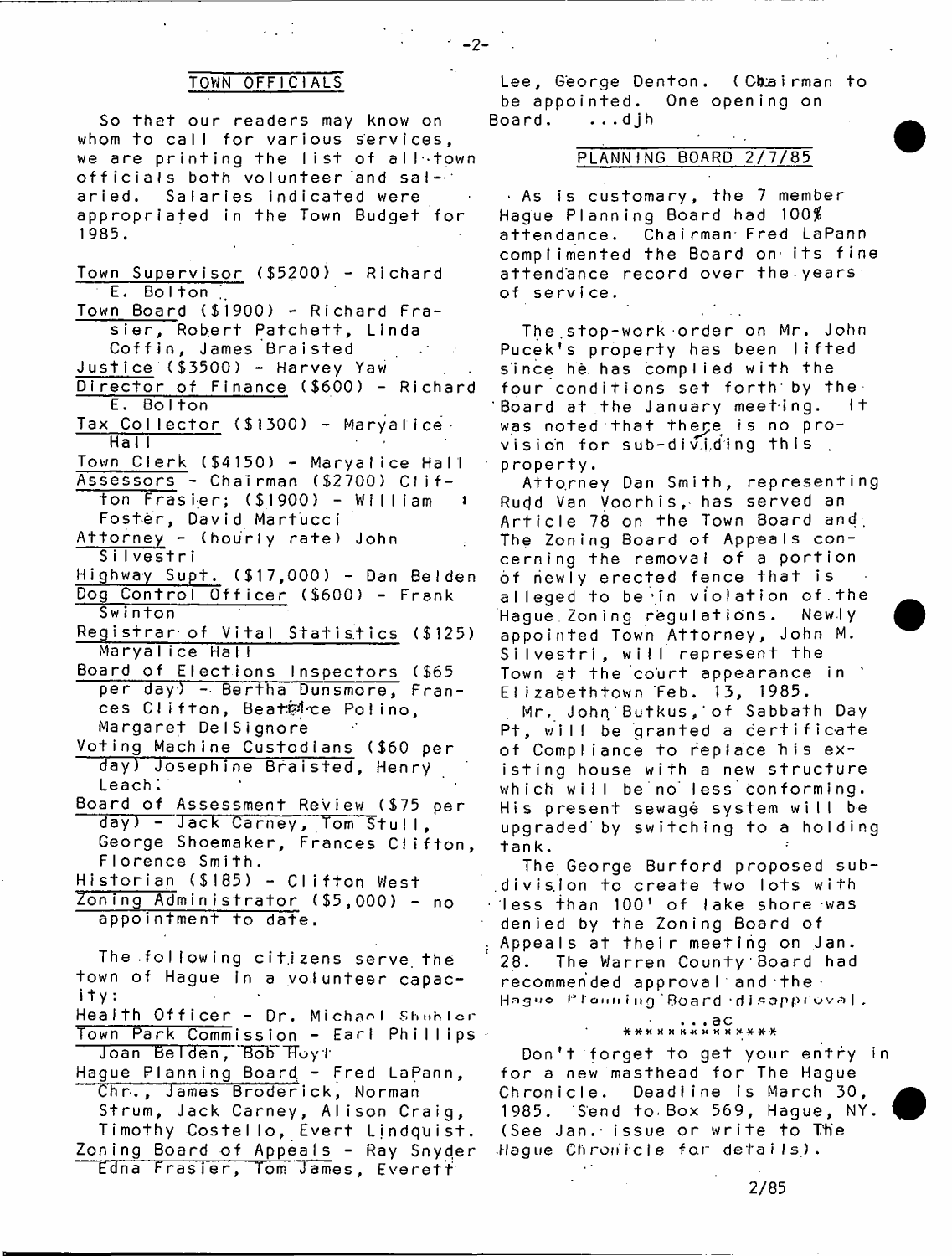#### TOWN OFFICIALS

So that our readers may know on whom to call for various services. we are printing the list of alletown officials both volunteer and salaried. Salaries indicated were appropriated in the Town Budget for 1985.

Town Supervisor (\$5200) - Richard E. Bolton

Town Board (\$1900) - Richard Frasier, Robert Patchett, Linda Coffin, James Braisted

Justice (\$3500) - Harvey Yaw Director of Finance (\$600) - Richard

E. Bolton Tax Collector (\$1300) - Maryalice -Hal I

Town Clerk (\$4150) - Maryalice Hall Assessors - Chairman (\$2700) Clif $ton$   $Frasier$ ; (\$1900) - William

Foster, David Martucci

Attorney - (hourly rate) John Silvestri

Highway Supt. (\$17,000) - Dan Belden Dog Control Officer (\$600) - Frank

Swinton Registrar of Vital Statistics (\$125) Maryalice Hall

Board of Elections Inspectors (\$65 per day) - Bertha Dunsmore, Frances Clifton, Beatsice Polino, Margaret DelSignore

Voting Machine Custodians (\$60 per day) Josephine Braisted, Henry Leach.

Board of Assessment Review (\$75 per day) - Jack Carney, Tom Stull, George Shoemaker, Frances Clifton, FIorence Smith.

Historian (\$185) - Clifton West

Zoning Administrator (\$5,000) - no appointment to date.

The following citizens serve the town of Hague in a volunteer capacity:

Health Officer - Dr. Michael Shuhlor Town Park Commission - Earl Phillips Joan Belden, Bob Hoyt

Hague Planning Board - Fred LaPann, Chr., James Broderick, Norman Strum, Jack Carney, Alison Craig, Timothy Costello, Evert Ljndquist. Zoning Board of Appeals - Ray Snyder Edna Frasier, Tom James, Everett

Lee, George Denton. (Chairman to be appointed. One opening on Board. ...dih

 $-2-$ 

#### PLANNING BOARD 2/7/85

 $\cdot$  As is customary, the 7 member Hague Planning Board had 100\$ attendance. Chairman Fred LaPann complimented the Board on its fine attendance record over the.years of service.

The stop-work order on Mr. John Pucek's property has been lifted since he has complied with the four conditions set forth by the<br>Board at the lanuary meeting. It Board at the January meeting. was noted that there is no provision for sub-dividing this property.

Attorney Dan Smith, representing Rudd Van Voorhis, has served an Article 78 on the Town Board and. The Zoning Board of Appeals concerning the removal of a portion of newly erected fence that is alleged to be in violation of the Hague Zoning regulations. Newly appointed Town Attorney, John M. Silvestri, will represent the Town at the court appearance in Elizabethtown Feb. 13, 1985.

Mr. John Butkus, of Sabbath Day Pt, will be granted a certificate of Compliance to replace his existing house with a new structure which will be no less conforming. His present sewage system will be upgraded by switching to a holding tank.

The George Burford proposed subdivision to create two lots with  $\cdot$  less than 100' of lake shore was denied by the Zoning Board of Appeals at their meeting on Jan. 28. The Warren County Board had recommended approval and the Hague Plenning Board disapproval.

### OG . . .<br>\*\*\*\*\*\*\*\*\*\*\*\*\*\*\*

Don't forget to get your entry in for a new masthead for The Hague Chronicle. Deadline is March 30, 1985. Send to Box 569, Hague, NY. (See Jan. issue or write to The Hague Chronicle for details).

2/85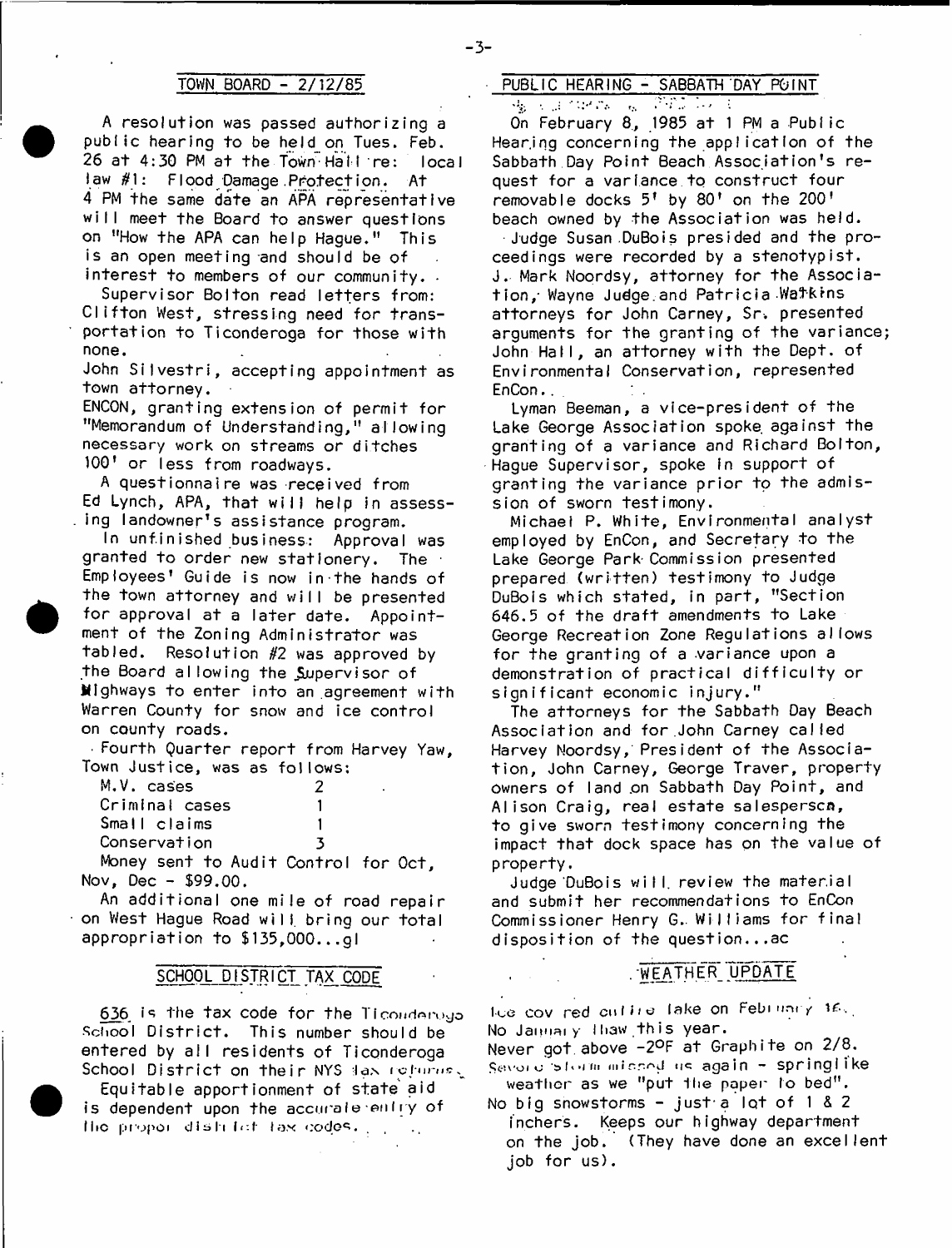A resolution was passed authorizing a public hearing to be held on Tues. Feb. 26 at 4:30 PM at the Town Hall re: local law #1: Flood Damage.Protection. At 4 PM the same date an APA representative will meet the Board to answer questions on "How the APA can help Hague." This is an open meeting and should be of interest to members of our community.

Supervisor Bolton read letters from: Clifton West, stressing need for transportation to Ticonderoga for those with none.

John Silvestri, accepting appointment as town attorney.

ENCON, granting extension of permit for "Memorandum of Understanding," allowing necessary work on streams or ditches 100' or less from roadways.

A questionnaire was received from Ed Lynch, APA, that will help in assess-. ing landowner's assistance program.

In unfinished business: Approval was granted to order new stationery. The Employees' Guide is now in the hands of the town attorney and will be presented for approval at a later date. Appointment of the Zoning Administrator was tabled. Resolution *#2* was approved by the Board allowing the Supervisor of Mighways to enter into an agreement with Warren County for snow and ice control on county roads.

 $\cdot$  Fourth Quarter report from Harvey Yaw, Town Justice, was as follows:

| M.V. cases     | 7 |
|----------------|---|
| Criminal cases |   |
| Small claims   |   |
| Conservation   | з |
| $M = 1$        |   |

Money sent to Audit Control for Oct, Nov, Dec - \$99.00.

An additional one mile of road repair on West Hague Road will bring our total appropriation to \$135,000...gl

#### SCHOOL DISTRICT TAX CODE

School District. This number should be  $\blacksquare$  No January I haw this year,<br>entered by all residents of Ticonderona . Never got above -29F at Graphite on 2/8. entered by all residents of Ticonderoga . Never got.above -2°F at Graphite on 278.<br>School District on their NYS las refurns. Severy storm missed us again - springlike School District on their NYS las refurnes. Severy sterm missed us again - springle<br>Neather as we "put the paper to bed". Equitable apportionment of state aid weather as we "put the paper to bed".<br>dependent upon the accurate entry of ... No big snowstorms - just a lot of 1 & 2. is dependent upon the accurate entry of the big snowstorms - just a lot of 1 & 2<br>The propon district tax codes to the finchers. Keeps our highway department III.c propor dish for lax codes.  $\mathbb{R}^n$ 

### TOWN BOARD - 2/12/85 PUBLIC HEARING - SABBATH DAY POINT

· 髪 30.34.34.47% → 最小资源表示 × 30.

 $\overline{0}$ n February 8, 1985 at 1 PM a Public Hearjng concerning the appIicat Ion of the Sabbath Day Point Beach Association's request for a variance to construct four removable docks 5\* by 80' on the 200' beach owned by the Association was held. Judge Susan DuBois presided and the proceedings were recorded by a stenotypist. J. Mark Noordsy, attorney for the Association, Wayne Judge and Patricia Watkins attorneys for John Carney, Sr. presented arguments for the granting of the variance; John Hall, an attorney with the Dept. of Environmental Conservation, represented EnCon...

Lyman Beeman, a vice-president of the Lake George Association spoke against the granting of a variance and Richard Bolton, Haque Supervisor, spoke in support of granting the variance prior to the admission of sworn testimony.

Michael P. White, Environmental analyst employed by EnCon, and Secretary to the Lake George Park-Commission presented prepared (written) testimony to Judge DuBois which stated, in part, "Section 646.5 of the draft amendments to Lake George Recreation Zone Requlations allows for the granting of a variance upon a demonstration of practical difficulty or significant economic injury."

The attorneys for the Sabbath Day Beach Association and for John Carney called Harvey Noordsy, President of the Association, John Carney, George Traver, property owners of land on Sabbath Day Point, and Alison Craig, real estate salesperson, to give sworn testimony concerning the impact that dock space has on the value of property.

Judge DuBois will, review the material and submit her recommendations to EnCon Commissioner Henry G.. Williams for final disposition of the question... $ac$ 

#### , WEATHER UPDATE

636 is the tax code for the Ticondorogo - Ice cov red culled lake on Febinary is.,<br>shool District. This number should be - No January thaw this year.

on the job. (They have done an excellent job for us).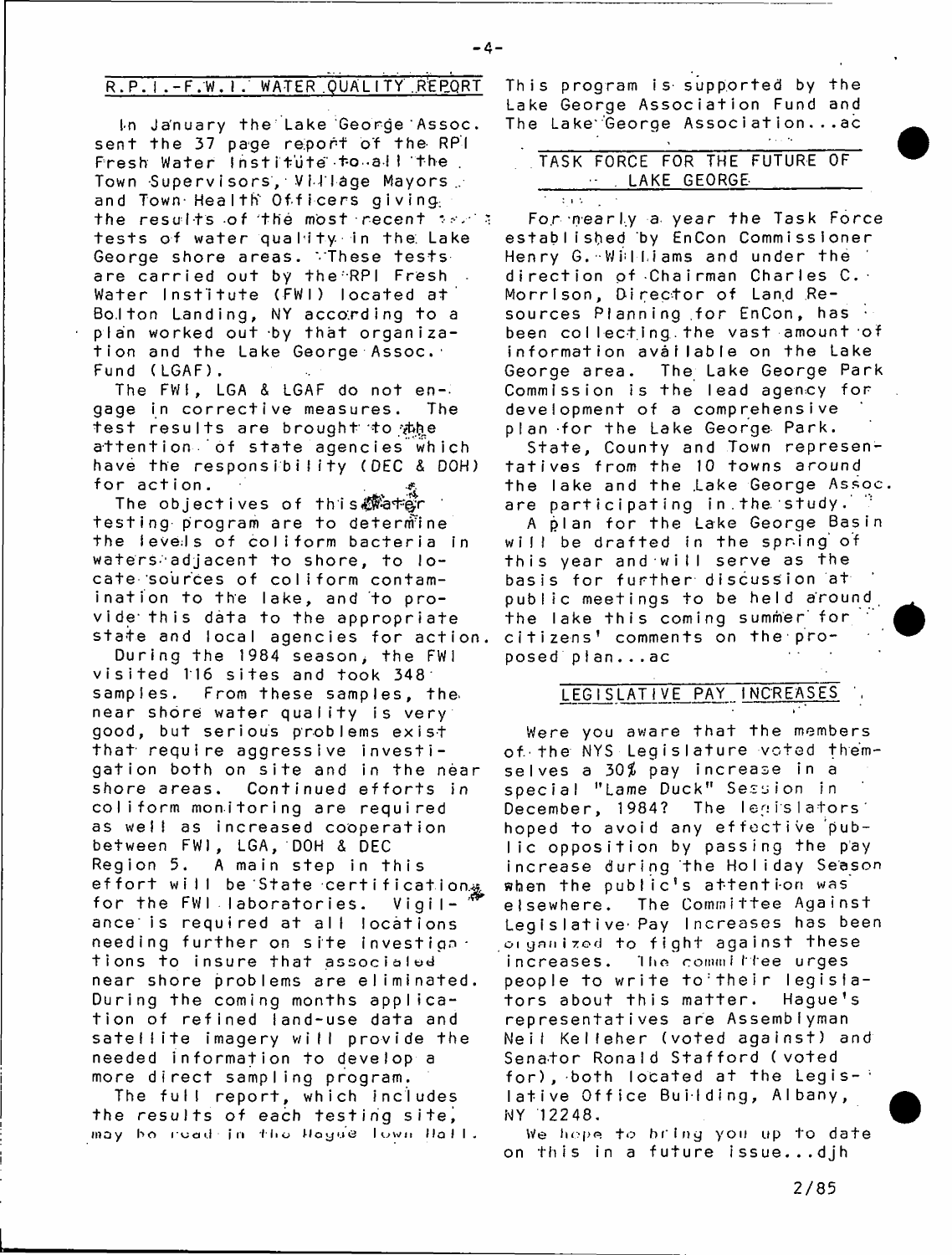$\pm$  and  $\pm$ 

## R. P. I .-F. W. I. WATER QUALITY REPORT

l-n January the Lake George Assoc, sent the 37 page report of the RPI Presh Water Institute to all the Town Supervisors, Village Mayors. and Town-Health Officers giving the results of the most recent  $38.73$ tests of water quahity. in the. Lake George shore areas. These tests are carried out by the RPI Fresh. Water Institute (FWI) located at Bolton Landing, NY according to a plan worked out by that organization and the Lake George Assoc. Fund ( LGAF).

The FW!, LGA & LGAF do not engage in corrective measures. The test results are brought to the attention of state agencies which have the responsibility (DEC & DOH) for action.

The objectives of this tate t testing program are to determine the levels of coliform bacteria in waters-adjacent to shore, to locate sources of coliform contamination to the lake, and to provide this data to the appropriate state and local agencies for action.

During the 1984 season, the FWI visited 116 sites and took 348 samples. From these samples, thenear shore water quality is very good, but serious problems e xist that require aggressive in vestigation both on site and in the near shore areas. Continued efforts in coliform monitoring are required as well as increased cooperation bet ween FWI, LGA, DOH & DEC Region 5. A main step in this effort will be State certification & for the  $FWI$  Iaboratories. Vigilance is required at all locations needing further on site investiga. tions to insure that associaled near shore problems are eliminated. During the coming months application of refined land-use data and satellite imagery will provide the needed information to develop a more direct sampling program.

The full report, which includes the results of each testing site, may ho i'cad in tho Hayue Town Hall. This program is supported by the Lake George Association Fund and The Lake George Association... $ac$ 

## TASK FORCE FOR THE FUTURE OF LAKE GEORGE-

For nearly a year the Task Force established by EnCon Commissioner Henry G. Williams and under the direction of Chairman Charles C. -Morrison, Director of Land Resources Planning for EnCon, has been collecting the vast amount of information available on the Lake George area. The Lake George Park Commission is the lead agency for development of a comprehensive plan -for the Lake George Park.

State, County and Town representatives from the 10 towns around the lake and the Lake George Assoc. are participating in the study.

A plan for the Lake George Basin will be drafted in the spring of this year and will serve as the basis for further discussion at public meetings to be held around the lake this coming summer for citizens' comments on the proposed plan...ac

#### LEGISLATIVE PAY INCREASES  $\overline{r}$

Were you aware that the members of the NYS Legislature voted themselves a 30% pay increase in a special "Lame Duck" Session in December, 1984? The legislators hoped to avoid any effective public opposition by passing the pay increase during the Holiday Season when the public's attention was elsewhere. The Committee Against Legislative Pay Increases has been organized to fight against these increases. The committee urges people to write to their legisiators about this matter. Hague's representatives are Assemblyman Neit Kelleher (voted against) and Senator Ronald Stafford (voted for), both located at the Legis- $\cdot$ lative Office Building, Albany, NY 12248.

We hope to bring you up to date on this in a future issue...djh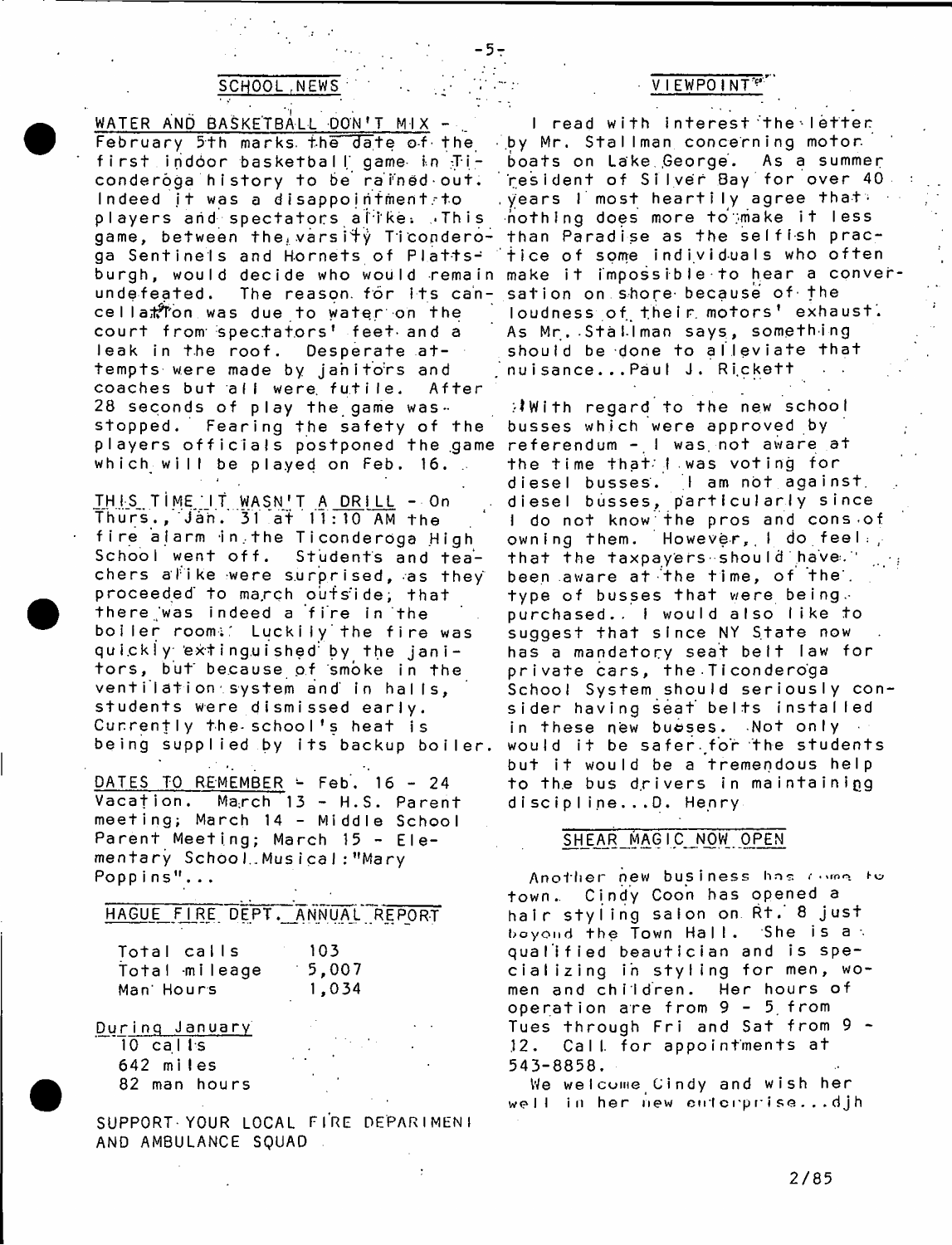- <mark>7</mark> •

WATER AND BASKETBALL DON'T MIX -February 5 th marks, the  $\overline{da}$  te of the first indoor basketball game in Ticonderoga history to be rained out. Indeed it was a disappointment to players and spectators alike. This game, between the varsity Ticondero- than Paradise as the selfish pracga Sentinels and Hornets of Plattsburgh, would decide who would remain undefeated. The reason for its cancellation was due to water on the court from spectators' feet and a leak in the roof. Desperate attempts were made by janitors and coaches but all were futile. After 28 seconds of play the game wasstopped. Fearing the safety of the players officials postponed the game referendum – I was not aware at which will be played on Feb. 16.  $\therefore$ 

THIS TIME. IT WASN'T A DRILL - On Thurs., Jan. 31 at  $11:10$  AM the fire alarm in the Ticonderoga High School went off. Students and teachers alike were surprised, as they proceeded to march outside; that there was indeed a fire in the boiler room ;: Luckily'the fire was quickly extinguished by the janitors, but because of smoke in the ventilation system and in halls, students were dismissed early. Currently the-school's heat is being supplied by its backup boiler.

DATES TO REMEMBER  $\div$  Feb. 16 - 24 Vacation. March 13 - H.S. Parent meeting; March 14 - Middle School Parent Meeting; March 15 - Elementary School.Musical: "Mary Poppins"...

| HAGUE FIRE DEPT. ANNUAL REPORT            |                       |  |
|-------------------------------------------|-----------------------|--|
| Total calls<br>Total mileage<br>Man Hours | 103<br>5.007<br>1,034 |  |
| <u>During January</u><br>$10$ calls       |                       |  |

| <b>IV CALLS</b> |  |
|-----------------|--|
| 642 miles       |  |
| 82 man hours    |  |

SUPPORT-YOUR LOCAL FIRE DEPARIMENT AND AMBULANCE SQUAD

#### SCHOOL NEWS V I EWPO INT

I read with interest the letter by Mr. Stallman concerning motor boats on Lake George. As a summer resident of Silver Bay for over 40.  $\frac{1}{2}$  years 1 most heartily agree that: nothing does more to make it less tice of some individuals who often make it impossible to hear a conversation on shore because of the loudness of their motors' exhaust. As Mr. Stallman says, something should be done to alleviate that nuisance...Paul J. Rickett

 $\mathcal{W}$  ith regard to the new school busses which were approved by the time that I was voting for diesel busses. I am not against, diesel busses, particularly since I do not know the pros and consest owning them. However, I do feel : that the taxpayers should have." been aware at the time, of the'. type of busses that were being. purchased.. I would also like to suggest that since NY State now has a mandatory seat beit law for private cars, the Ticonderoga School System should seriously consider having seat belts installed in these new busses. Not only would it be safer for the students but it would be a tremendous help to the bus drivers in maintaining discipline...D. Henry

#### SHEAR MAGIC NOW OPEN

Another new business has come to town.. Cindy Coon has opened a hair styling salon on Rt. 8 just boyond the Town Hall. She is a qualified beautician and is specializing in styling for men, women and children. Her hours of operation are from 9-5. from Tues through Fri and Sat from 9 -12. Call for appointments at 543-8858.

We welcome Cindy and wish her well in her new cutcrprise... $d$   $jh$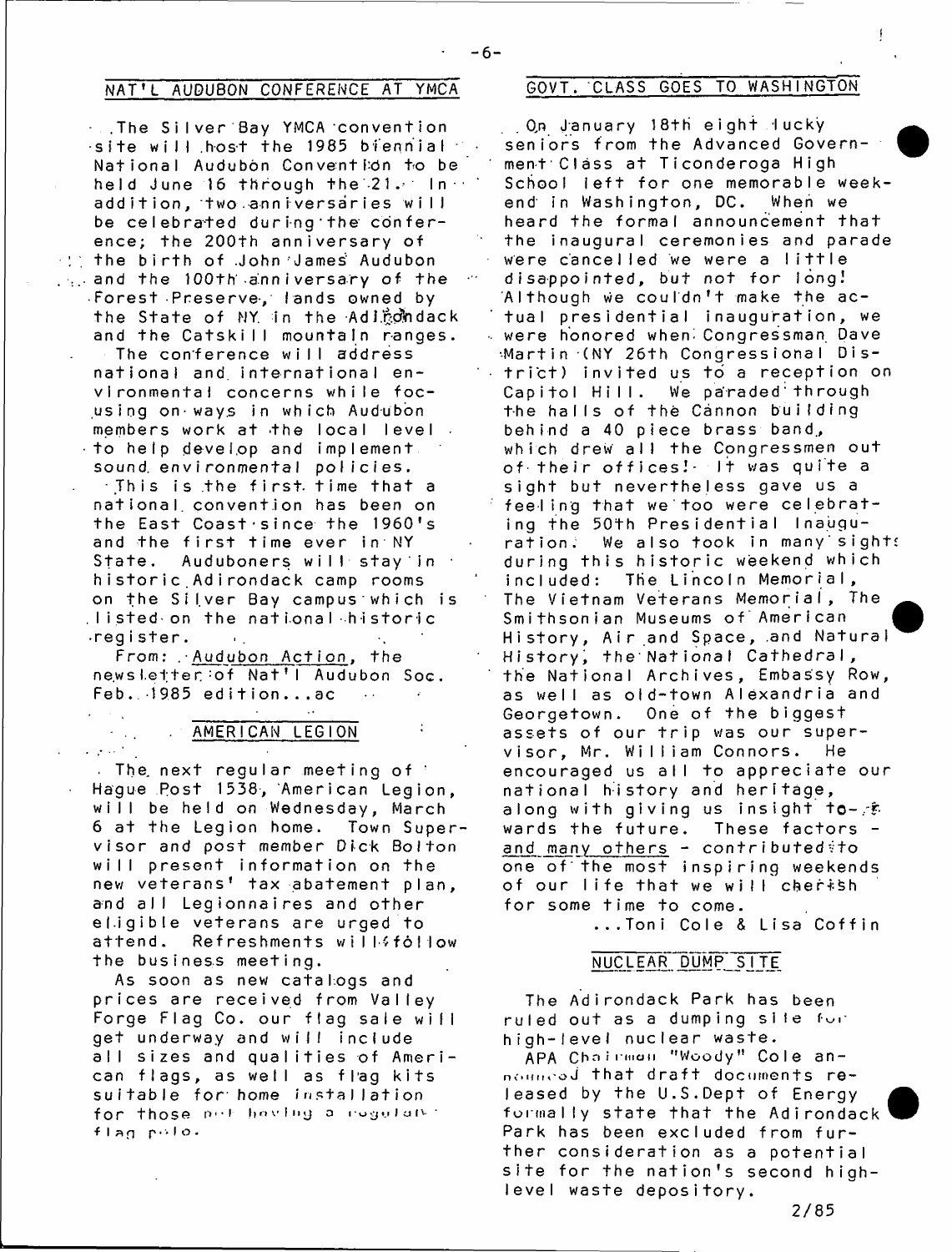## NAT'L AUDUBON CONFERENCE AT YMCA GOVT. CLASS GOES TO WASHINGTON

. . The Silver Bay YMCA convention ·site will host the 1985 biennial National Audubon Convention to be held June 16 through the 21. In add ition, two anniversaries will be celebrated during the conference; the 200th anniversary of  $\cdot$  the birth of John James' Audubon  $\mathcal{L}_{\text{max}}$  and the 100 th anniversary of the Forest Preserve, lands owned by the State of NY in the Adirondack and the Catskill mountain ranges. The conference will address national and. international environmental concerns while focus ing on-ways in which Audubon members work at the local level. to help develop and implement sound, environmental policies.  $\cdot$  This is the first time that a national convention has been on the East Coast'since the 1960's and the first time ever in NY State. Auduboners will stay in historic Adirondack camp rooms on the Silver Bay campus which is . Listed on the national historic ■ r eg i s t e r .  $\mathbf{u}_{\rm{in}}$ 

From: . Audubon Action, the news letter : of Nat'l Audubon Soc.  $Feb.$  1985 edition...ac

# . AMERICAN LEGION

 $\sim 1$ 

. The next regular meeting of  $\cdot$ Hague Rost 1538, American Legion, will be held on Wednesday, March 6 at the Legion home. Town Supervisor and post member Dick Bolton will present information on the new veterans' tax abatement plan, and all Legionnaires and other el.igible veterans are urged to attend. Refreshments willffollow the business meeting.

As soon as new catalogs and prices are received from Valley Forge Flag Co. our flag sale will get underway and will include all sizes and qualities of American flags, as well as flag kits suitable for home installation for those not having a rogulary: flag polo.

. On January 18th eight lucky seniors from the Advanced Govern-  $\blacksquare$ ment'Class at Ticonderoga High School left for one memorable weekend in Washington, DC. When we heard the formal announcement that the inaugural ceremonies and parade were cancelled we were a little disappointed, but not for long! Although we couldn't make the actual presidential inauguration, we were honored when-Congressman Dave Martin (NY 26th Congressional Dis- $\rightarrow$  trict) invited us to a reception on Capitol Hill. We paraded through the halls of the Cannon building behind a 40 piece brass band, which drew all the Congressmen out of their offices! It was quite a sight but nevertheless gave us a feeling that we too were celebrating the 50th Presidential Inauguration. We also took in many sights during this historic weekend which included: The Lincoln Memorial, The Vietnam Veterans Memorial, The Smithsonian Museums of American History, Air and Space, and Natural History, the National Cathedral, the National Archives, Embassy Row, as well as old-town Alexandria and Georgetown. One of the biggest assets of our trip was our supervisor, Mr. William Connors. He encouraged us all to appreciate our national history and heritage, along with giving us insight to- $\mathscr{F}$ wards the future. These factors and many others - contributed to one of the most inspiring weekends of our life that we will cherish for some time to come.

...Toni Cole & Lisa Coffin

### NUCLEAR DUMP SITE

The Adirondack Park has been ruled out as a dumping sile for high-level nuclear waste.

APA Chairman "Woody" Cole announced that draft documents released by the U.S.Dept of Energy formally state that the Adirondack Park has been excluded from further consideration as a potential site for the nation's second highlevel waste depository.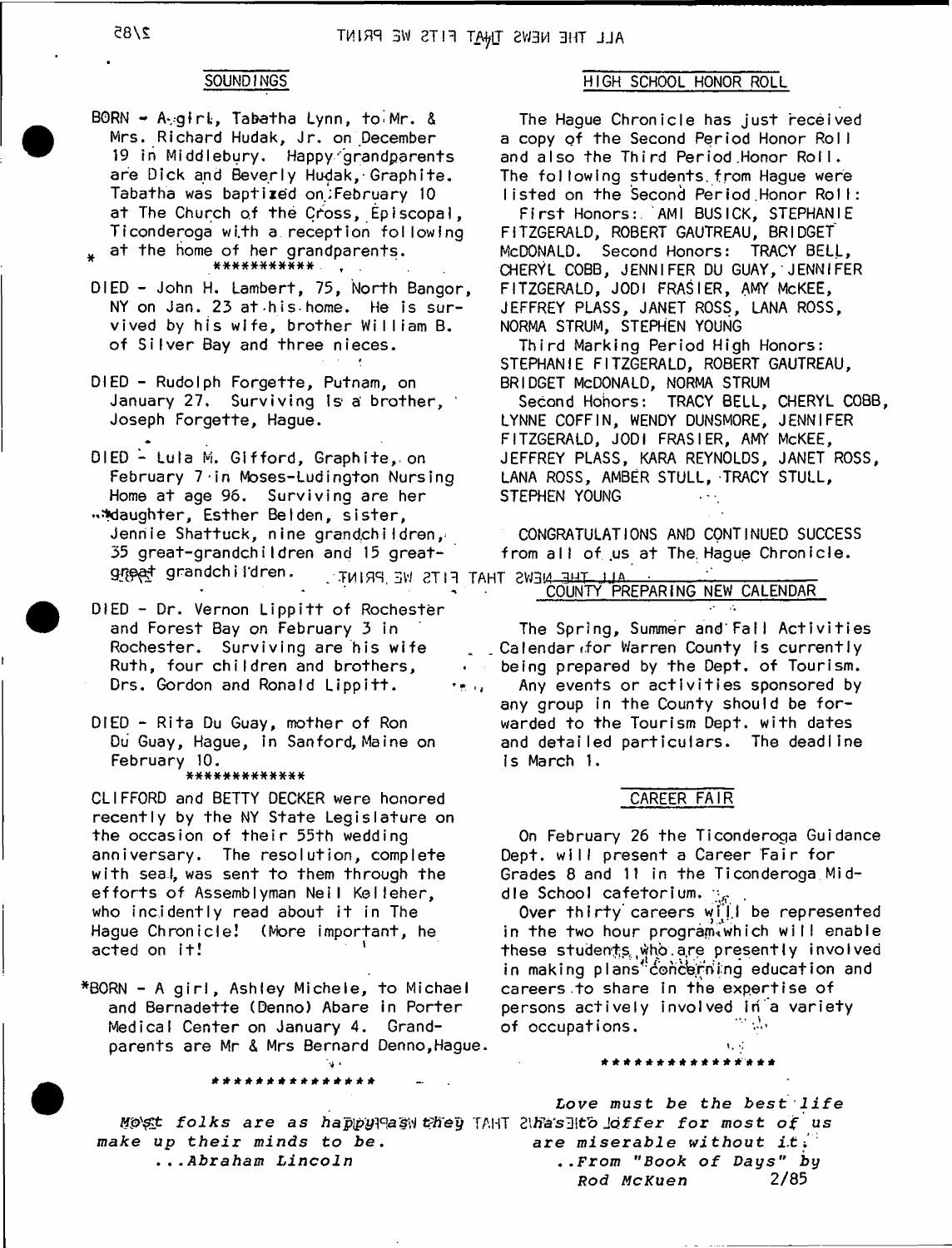BORN - A girt, Tabatha Lynn, to Mr. & Mrs. Richard Hudak, Jr. on December 19 in Middlebury. Happy grandparents are Dick and Beverly Hudak,-Graphite. Tabatha was baptized on;February 10 at The Church of the Cross, Episcopal, Ticonderoga with a reception following at the home of her grandparents.

- \*\*\*\*\*\*\*\*\*\*\*
- DIED John H. Lambert, 75, North Bangor NY on Jan. 23 at his home. He is survived by his wife, brother William B. of Silver Bay and three nieces.
- DIED Rudolph Forgette, Putnam, on January 27. Surviving is a brother, Joseph Forgette, Hague.
- DIED Lula M. Gifford, Graphite, on February 7 -in Moses-Ludington Nursing Home at age 96. Surviving are her

\*Maughter, Esther Belden, sister, Jennie Shattuck, nine grandchildren,  $35$  great-grandchildren and 15 great-GLOGET Grandchildren. TMIRR SW 2TH TAHT 2W3M 3HT JJA

DIED - Dr. Vernon Lippitt of Rochester and Forest Bay on February 3 in Rochester. Surviving are his wife Ruth, four children and brothers, Drs. Gordon and Ronald Lippitt. te is

DIED - Rita Du Guay, mother of Ron Du Guay, Hague, in Sanford, Maine on February 10.

#### \*\*\*\*\*\*\*\*\*\*\*\*

CLIFFORD and BETTY DECKER were honored recently by the NY State Legislature on the occasion of their 55th wedding anniversary. The resolution, complete with seal, was sent to them through the efforts of Assemblyman Neil Kelleher, who incidently read about it in The Hague Chronicle! (More important, he acted on it!

\*BORN - A girl, Ashley Michele, to Michael and Bernadette (Denno) Abare in Porter Medical Center on January 4. Grandparents are Mr & Mrs Bernard Denno,Hague.

*gt folks are as ha'p'py]°as\i* TAHT 2ltfa's3!tb J o f f e r *for most of us make up their minds to be.* **.** *..Abraham Lincoln*

\*\*\*\*\*\*\*\*\*\*\*\*\*\*\*

### SOUNDINGS HIGH SCHOOL HONOR ROLL

The Haque Chronicle has just received a copy of the Second Period Honor Roll and also the Third Period Honor Roll. The following students from Hague were listed on the Second Period Honor Roll:

First Honors: AMI BUSICK, STEPHANIE FITZGERALD, ROBERT GAUTREAU, BRIDGET McDONALD. Second Honors: TRACY BELL, CHERYL COBB, JENNIFER DU GUAY,' JENNIFER FITZGERALD, JODI FRASIER, AMY McKEE, JEFFREY PLASS, JANET ROSS, LANA ROSS, NORMA STRUM, STEPHEN YOUNG

Third Marking Period High Honors: STEPHANIE FITZGERALD, ROBERT GAUTREAU, BRIDGET MCDONALD, NORMA STRUM

Second Honors: TRACY BELL, CHERYL COBB, LYNNE COFFIN, WENDY DUNSMORE, JENNIFER FITZGERALD, JODI FRASIER, AMY McKEE, JEFFREY PLASS, KARA REYNOLDS, JANET ROSS, LANA ROSS, AMBER STULL, TRACY STULL, STEPHEN YOUNG

CONGRATULATIONS AND CONTINUED SUCCESS from all of us at The Hague Chronicle.

## COUNTY PREPARING NEW CALENDAR

The Spring, Summer and Fall Activities Calendar (for Warren County is currently being prepared by the Dept. of Tourism. Any events or activities sponsored by any group in the County should be forwarded to the Tourism Dept, with dates and detailed particulars. The deadline Is March 1.

### CAREER FAIR

On February 26 the Ticonderoga Guidance Dept, will present a Career Fair for Grades 8 and 11 in the Ticonderoga Middle School cafetorium.  $\mathbb{F}_{\sigma}$ 

Over thirty careers will be represented in the two hour program which will enable these students who are presently involved in making plans"concerning education and careers to share in the expertise of persons actively involved in a variety of occupations.

 $\mathbf{1}_{\mathbf{1}}$  ,  $\mathbf{1}_{\mathbf{1}}$ 

Love must be the best life *are miserable wi thout i.t i* **.** *.From "Book of* Days" *by* **Rod McKuen**